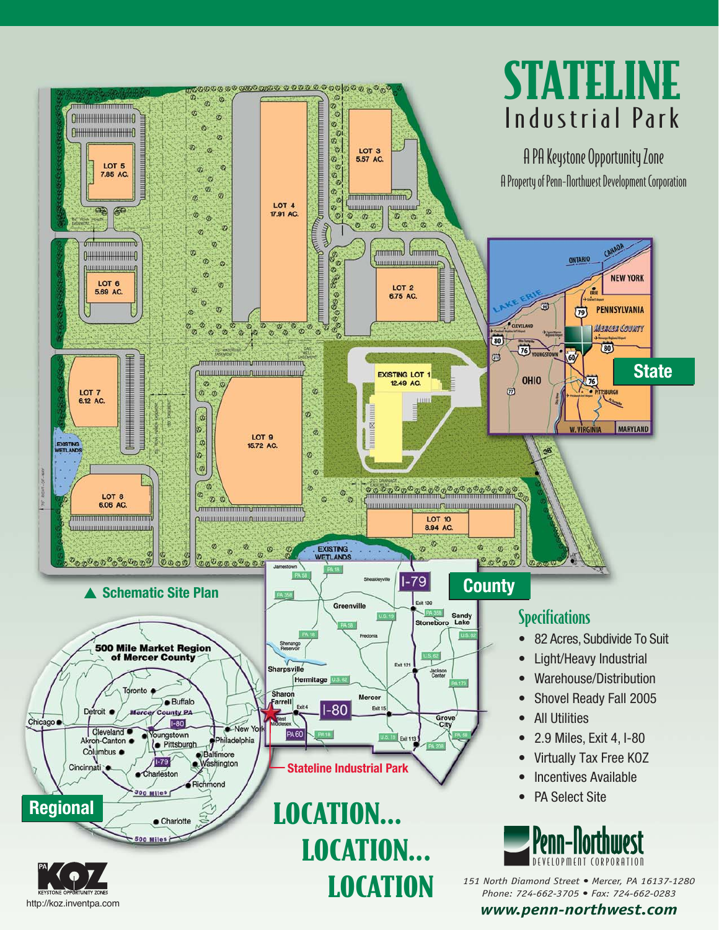